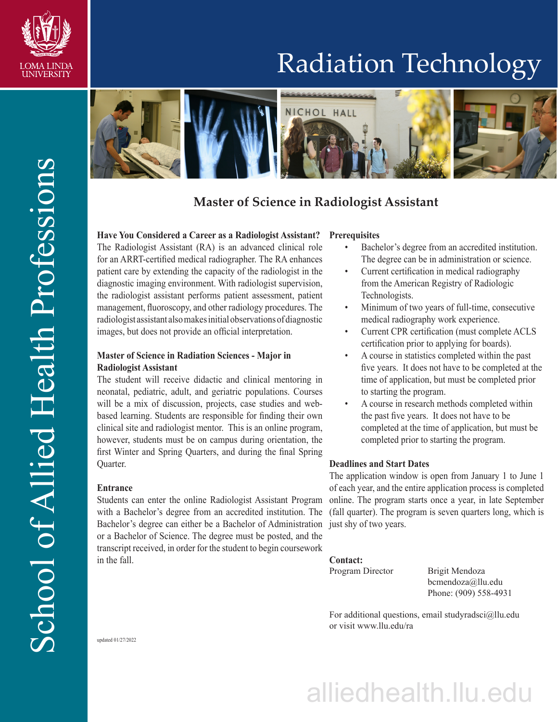

## Radiation Technology



### **Master of Science in Radiologist Assistant**

#### **Have You Considered a Career as a Radiologist Assistant?**

The Radiologist Assistant (RA) is an advanced clinical role for an ARRT-certified medical radiographer. The RA enhances patient care by extending the capacity of the radiologist in the diagnostic imaging environment. With radiologist supervision, the radiologist assistant performs patient assessment, patient management, fluoroscopy, and other radiology procedures. The radiologist assistant also makes initial observations of diagnostic images, but does not provide an official interpretation.

#### **Master of Science in Radiation Sciences - Major in Radiologist Assistant**

The student will receive didactic and clinical mentoring in neonatal, pediatric, adult, and geriatric populations. Courses will be a mix of discussion, projects, case studies and webbased learning. Students are responsible for finding their own clinical site and radiologist mentor. This is an online program, however, students must be on campus during orientation, the first Winter and Spring Quarters, and during the final Spring Quarter.

#### **Entrance**

Students can enter the online Radiologist Assistant Program with a Bachelor's degree from an accredited institution. The Bachelor's degree can either be a Bachelor of Administration just shy of two years. or a Bachelor of Science. The degree must be posted, and the transcript received, in order for the student to begin coursework in the fall.

#### **Prerequisites**

- Bachelor's degree from an accredited institution. The degree can be in administration or science.
- Current certification in medical radiography from the American Registry of Radiologic Technologists.
- Minimum of two years of full-time, consecutive medical radiography work experience.
- Current CPR certification (must complete ACLS certification prior to applying for boards).
- A course in statistics completed within the past five years. It does not have to be completed at the time of application, but must be completed prior to starting the program.
- A course in research methods completed within the past five years. It does not have to be completed at the time of application, but must be completed prior to starting the program.

#### **Deadlines and Start Dates**

The application window is open from January 1 to June 1 of each year, and the entire application process is completed online. The program starts once a year, in late September (fall quarter). The program is seven quarters long, which is

#### **Contact:**

Program Director Brigit Mendoza

bcmendoza@llu.edu Phone: (909) 558-4931

For additional questions, email studyradsci@llu.edu or visit www.llu.edu/ra

# alliedhealth.llu.edu

updated 01/27/2022